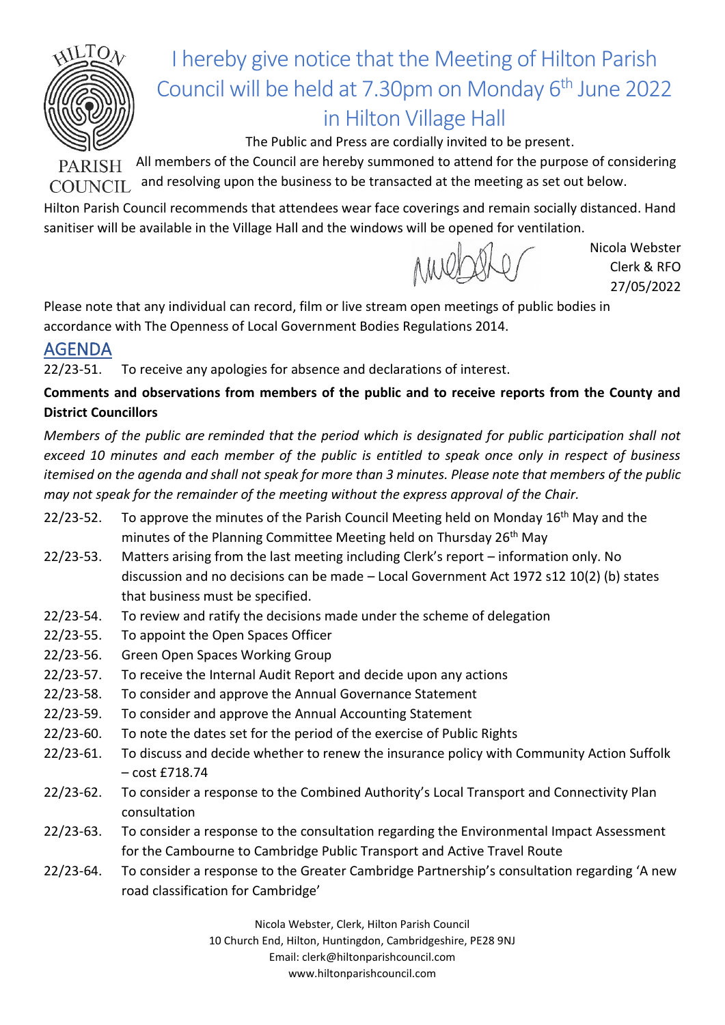

## I hereby give notice that the Meeting of Hilton Parish Council will be held at 7.30pm on Monday 6<sup>th</sup> June 2022 in Hilton Village Hall

The Public and Press are cordially invited to be present.

PARISH All members of the Council are hereby summoned to attend for the purpose of considering and resolving upon the business to be transacted at the meeting as set out below. COUNCIL.

Hilton Parish Council recommends that attendees wear face coverings and remain socially distanced. Hand sanitiser will be available in the Village Hall and the windows will be opened for ventilation.

Nicola Webster Clerk & RFO 27/05/2022

Please note that any individual can record, film or live stream open meetings of public bodies in accordance with The Openness of Local Government Bodies Regulations 2014.

## AGENDA

22/23-51. To receive any apologies for absence and declarations of interest.

**Comments and observations from members of the public and to receive reports from the County and District Councillors**

*Members of the public are reminded that the period which is designated for public participation shall not exceed 10 minutes and each member of the public is entitled to speak once only in respect of business itemised on the agenda and shall not speak for more than 3 minutes. Please note that members of the public may not speak for the remainder of the meeting without the express approval of the Chair.*

- 22/23-52. To approve the minutes of the Parish Council Meeting held on Monday 16<sup>th</sup> May and the minutes of the Planning Committee Meeting held on Thursday 26<sup>th</sup> May
- 22/23-53. Matters arising from the last meeting including Clerk's report information only. No discussion and no decisions can be made – Local Government Act 1972 s12 10(2) (b) states that business must be specified.
- 22/23-54. To review and ratify the decisions made under the scheme of delegation
- 22/23-55. To appoint the Open Spaces Officer
- 22/23-56. Green Open Spaces Working Group
- 22/23-57. To receive the Internal Audit Report and decide upon any actions
- 22/23-58. To consider and approve the Annual Governance Statement
- 22/23-59. To consider and approve the Annual Accounting Statement
- 22/23-60. To note the dates set for the period of the exercise of Public Rights
- 22/23-61. To discuss and decide whether to renew the insurance policy with Community Action Suffolk – cost £718.74
- 22/23-62. To consider a response to the Combined Authority's Local Transport and Connectivity Plan consultation
- 22/23-63. To consider a response to the consultation regarding the Environmental Impact Assessment for the Cambourne to Cambridge Public Transport and Active Travel Route
- 22/23-64. To consider a response to the Greater Cambridge Partnership's consultation regarding 'A new road classification for Cambridge'

Nicola Webster, Clerk, Hilton Parish Council

10 Church End, Hilton, Huntingdon, Cambridgeshire, PE28 9NJ

Email: clerk@hiltonparishcouncil.com

www.hiltonparishcouncil.com